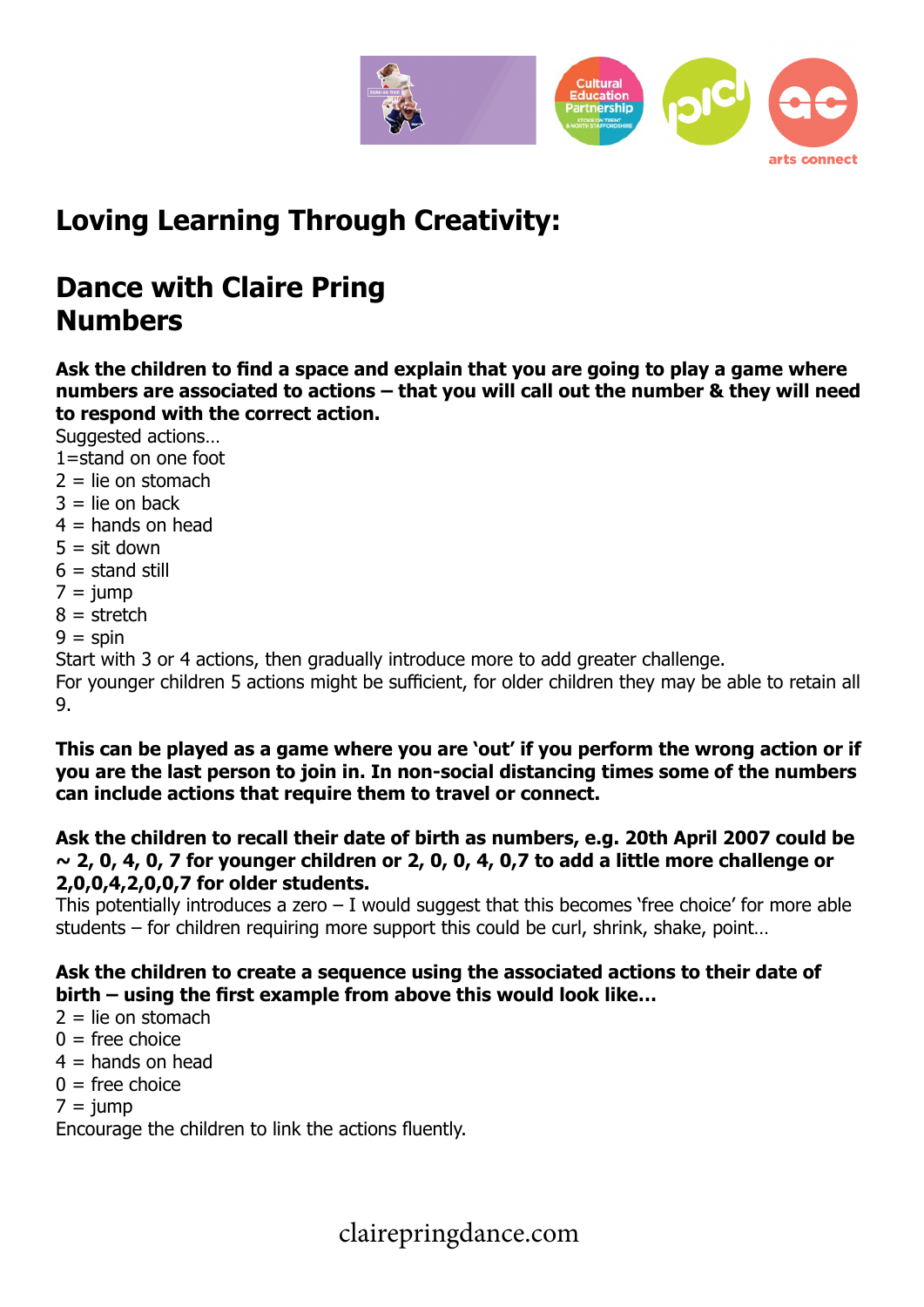

# **Loving Learning Through Creativity:**

## **Dance with Claire Pring Numbers**

**Ask the children to find a space and explain that you are going to play a game where numbers are associated to actions – that you will call out the number & they will need to respond with the correct action.**

Suggested actions...

- 1=stand on one foot
- $2 =$  lie on stomach
- $3 =$  lie on back
- $4 =$  hands on head
- $5 = \text{sit down}$
- $6 =$  stand still
- $7 = iump$
- $8 =$ stretch
- $9 =$ spin

Start with 3 or 4 actions, then gradually introduce more to add greater challenge.

For younger children 5 actions might be sufficient, for older children they may be able to retain all 9.

**This can be played as a game where you are 'out' if you perform the wrong action or if you are the last person to join in. In non-social distancing times some of the numbers can include actions that require them to travel or connect.**

**Ask the children to recall their date of birth as numbers, e.g. 20th April 2007 could be ~ 2, 0, 4, 0, 7 for younger children or 2, 0, 0, 4, 0,7 to add a little more challenge or 2,0,0,4,2,0,0,7 for older students.**

This potentially introduces a zero  $-$  I would suggest that this becomes 'free choice' for more able students – for children requiring more support this could be curl, shrink, shake, point…

#### **Ask the children to create a sequence using the associated actions to their date of birth – using the first example from above this would look like…**

- $2 =$  lie on stomach
- $0 =$  free choice
- $4 =$  hands on head
- $0 =$  free choice
- $7 = i$ ump

Encourage the children to link the actions fluently.